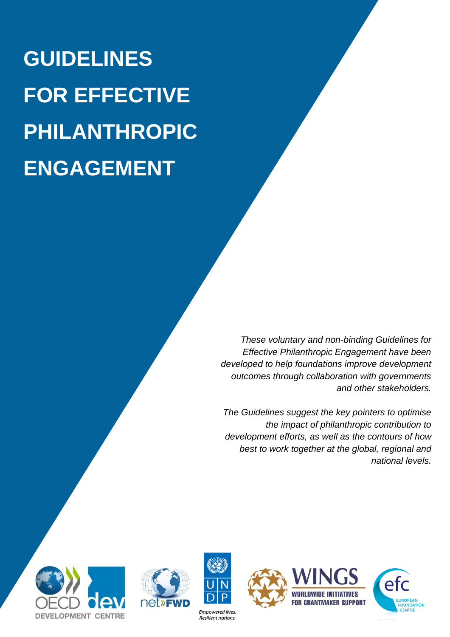**GUIDELINES FOR EFFECTIVE PHILANTHROPIC ENGAGEMENT**

> *These voluntary and non-binding Guidelines for Effective Philanthropic Engagement have been developed to help foundations improve development outcomes through collaboration with governments and other stakeholders.*

*The Guidelines suggest the key pointers to optimise the impact of philanthropic contribution to development efforts, as well as the contours of how best to work together at the global, regional and national levels.*







**Empowered lives** Resilient nations.





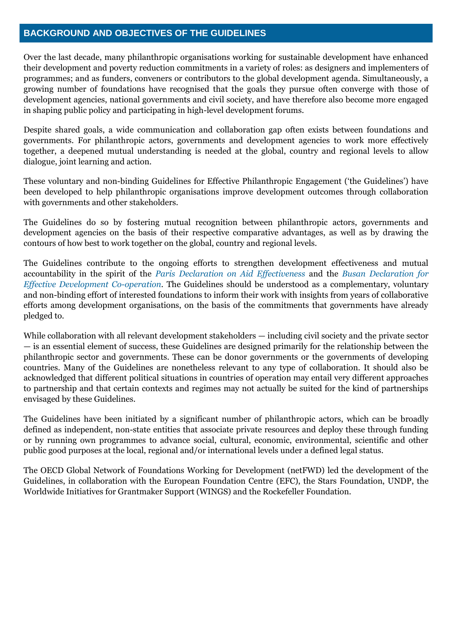# **BACKGROUND AND OBJECTIVES OF THE GUIDELINES**

Over the last decade, many philanthropic organisations working for sustainable development have enhanced their development and poverty reduction commitments in a variety of roles: as designers and implementers of programmes; and as funders, conveners or contributors to the global development agenda. Simultaneously, a growing number of foundations have recognised that the goals they pursue often converge with those of development agencies, national governments and civil society, and have therefore also become more engaged in shaping public policy and participating in high-level development forums.

Despite shared goals, a wide communication and collaboration gap often exists between foundations and governments. For philanthropic actors, governments and development agencies to work more effectively together, a deepened mutual understanding is needed at the global, country and regional levels to allow dialogue, joint learning and action.

These voluntary and non-binding Guidelines for Effective Philanthropic Engagement ('the Guidelines') have been developed to help philanthropic organisations improve development outcomes through collaboration with governments and other stakeholders.

The Guidelines do so by fostering mutual recognition between philanthropic actors, governments and development agencies on the basis of their respective comparative advantages, as well as by drawing the contours of how best to work together on the global, country and regional levels.

The Guidelines contribute to the ongoing efforts to strengthen development effectiveness and mutual accountability in the spirit of the *[Paris Declaration on Aid Effectiveness](http://www.oecd.org/dac/effectiveness/parisdeclarationandaccraagendaforaction.htm)* and the *[Busan Declaration for](http://www.oecd.org/dac/effectiveness/busanpartnership.htm)  [Effective Development Co-operation](http://www.oecd.org/dac/effectiveness/busanpartnership.htm)*. The Guidelines should be understood as a complementary, voluntary and non-binding effort of interested foundations to inform their work with insights from years of collaborative efforts among development organisations, on the basis of the commitments that governments have already pledged to.

While collaboration with all relevant development stakeholders — including civil society and the private sector — is an essential element of success, these Guidelines are designed primarily for the relationship between the philanthropic sector and governments. These can be donor governments or the governments of developing countries. Many of the Guidelines are nonetheless relevant to any type of collaboration. It should also be acknowledged that different political situations in countries of operation may entail very different approaches to partnership and that certain contexts and regimes may not actually be suited for the kind of partnerships envisaged by these Guidelines.

The Guidelines have been initiated by a significant number of philanthropic actors, which can be broadly defined as independent, non-state entities that associate private resources and deploy these through funding or by running own programmes to advance social, cultural, economic, environmental, scientific and other public good purposes at the local, regional and/or international levels under a defined legal status.

The OECD Global Network of Foundations Working for Development (netFWD) led the development of the Guidelines, in collaboration with the European Foundation Centre (EFC), the Stars Foundation, UNDP, the Worldwide Initiatives for Grantmaker Support (WINGS) and the Rockefeller Foundation.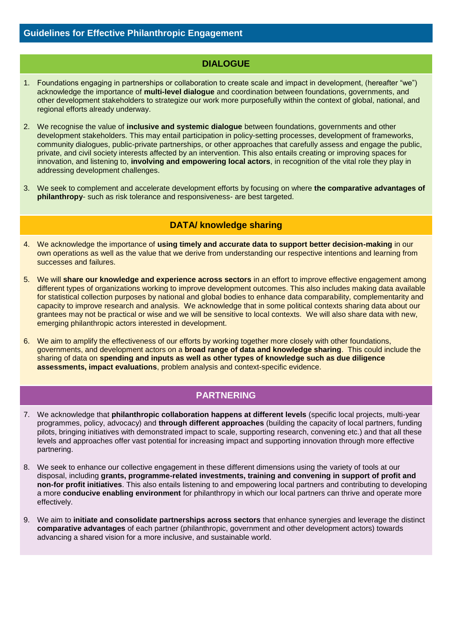# **DIALOGUE**

- 1. Foundations engaging in partnerships or collaboration to create scale and impact in development, (hereafter "we") acknowledge the importance of **multi-level dialogue** and coordination between foundations, governments, and other development stakeholders to strategize our work more purposefully within the context of global, national, and regional efforts already underway.
- 2. We recognise the value of **inclusive and systemic dialogue** between foundations, governments and other development stakeholders. This may entail participation in policy-setting processes, development of frameworks, community dialogues, public-private partnerships, or other approaches that carefully assess and engage the public, private, and civil society interests affected by an intervention. This also entails creating or improving spaces for innovation, and listening to, **involving and empowering local actors**, in recognition of the vital role they play in addressing development challenges.
- 3. We seek to complement and accelerate development efforts by focusing on where **the comparative advantages of philanthropy**- such as risk tolerance and responsiveness- are best targeted.

# **DATA/ knowledge sharing**

- 4. We acknowledge the importance of **using timely and accurate data to support better decision-making** in our own operations as well as the value that we derive from understanding our respective intentions and learning from successes and failures.
- 5. We will **share our knowledge and experience across sectors** in an effort to improve effective engagement among different types of organizations working to improve development outcomes. This also includes making data available for statistical collection purposes by national and global bodies to enhance data comparability, complementarity and capacity to improve research and analysis. We acknowledge that in some political contexts sharing data about our grantees may not be practical or wise and we will be sensitive to local contexts. We will also share data with new, emerging philanthropic actors interested in development.
- 6. We aim to amplify the effectiveness of our efforts by working together more closely with other foundations, governments, and development actors on a **broad range of data and knowledge sharing**. This could include the sharing of data on **spending and inputs as well as other types of knowledge such as due diligence assessments, impact evaluations**, problem analysis and context-specific evidence.

# **PARTNERING**

- 7. We acknowledge that **philanthropic collaboration happens at different levels** (specific local projects, multi-year programmes, policy, advocacy) and **through different approaches** (building the capacity of local partners, funding pilots, bringing initiatives with demonstrated impact to scale, supporting research, convening etc.) and that all these levels and approaches offer vast potential for increasing impact and supporting innovation through more effective partnering.
- 8. We seek to enhance our collective engagement in these different dimensions using the variety of tools at our disposal, including **grants, programme-related investments, training and convening in support of profit and non-for profit initiatives**. This also entails listening to and empowering local partners and contributing to developing a more **conducive enabling environment** for philanthropy in which our local partners can thrive and operate more effectively.
- 9. We aim to **initiate and consolidate partnerships across sectors** that enhance synergies and leverage the distinct **comparative advantages** of each partner (philanthropic, government and other development actors) towards advancing a shared vision for a more inclusive, and sustainable world.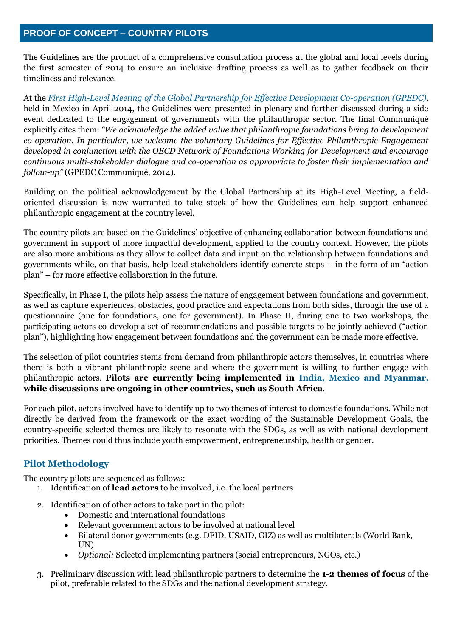The Guidelines are the product of a comprehensive consultation process at the global and local levels during the first semester of 2014 to ensure an inclusive drafting process as well as to gather feedback on their timeliness and relevance.

At the *First High-Level [Meeting of the Global Partnership for Effective Development Co-operation \(GPEDC\)](http://effectivecooperation.org/hlm2014/)*, held in Mexico in April 2014, the Guidelines were presented in plenary and further discussed during a side event dedicated to the engagement of governments with the philanthropic sector. The final Communiqué explicitly cites them: *"We acknowledge the added value that philanthropic foundations bring to development co-operation. In particular, we welcome the voluntary Guidelines for Effective Philanthropic Engagement developed in conjunction with the OECD Network of Foundations Working for Development and encourage continuous multi-stakeholder dialogue and co-operation as appropriate to foster their implementation and follow-up"* (GPEDC Communiqué, 2014).

Building on the political acknowledgement by the Global Partnership at its High-Level Meeting, a fieldoriented discussion is now warranted to take stock of how the Guidelines can help support enhanced philanthropic engagement at the country level.

The country pilots are based on the Guidelines' objective of enhancing collaboration between foundations and government in support of more impactful development, applied to the country context. However, the pilots are also more ambitious as they allow to collect data and input on the relationship between foundations and governments while, on that basis, help local stakeholders identify concrete steps – in the form of an "action plan" – for more effective collaboration in the future.

Specifically, in Phase I, the pilots help assess the nature of engagement between foundations and government, as well as capture experiences, obstacles, good practice and expectations from both sides, through the use of a questionnaire (one for foundations, one for government). In Phase II, during one to two workshops, the participating actors co-develop a set of recommendations and possible targets to be jointly achieved ("action plan"), highlighting how engagement between foundations and the government can be made more effective.

The selection of pilot countries stems from demand from philanthropic actors themselves, in countries where there is both a vibrant philanthropic scene and where the government is willing to further engage with philanthropic actors. **Pilots are currently being implemented in India, Mexico and Myanmar, while discussions are ongoing in other countries, such as South Africa**.

For each pilot, actors involved have to identify up to two themes of interest to domestic foundations. While not directly be derived from the framework or the exact wording of the Sustainable Development Goals, the country-specific selected themes are likely to resonate with the SDGs, as well as with national development priorities. Themes could thus include youth empowerment, entrepreneurship, health or gender.

# **Pilot Methodology**

The country pilots are sequenced as follows:

- 1. Identification of **lead actors** to be involved, i.e. the local partners
- 2. Identification of other actors to take part in the pilot:
	- Domestic and international foundations
	- Relevant government actors to be involved at national level
	- Bilateral donor governments (e.g. DFID, USAID, GIZ) as well as multilaterals (World Bank, UN)
	- *Optional:* Selected implementing partners (social entrepreneurs, NGOs, etc.)
- 3. Preliminary discussion with lead philanthropic partners to determine the **1-2 themes of focus** of the pilot, preferable related to the SDGs and the national development strategy.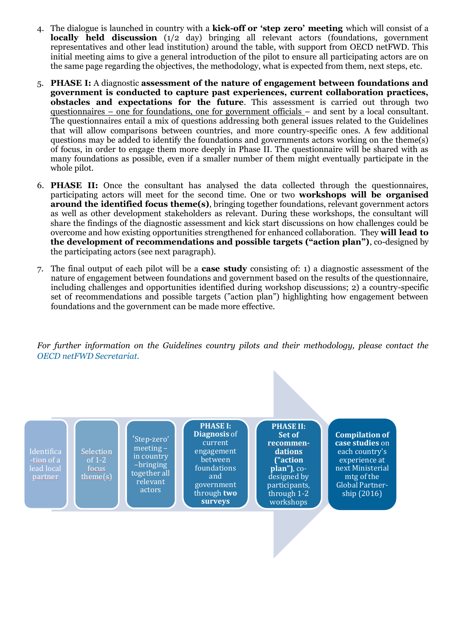- 4. The dialogue is launched in country with a **kick-off or 'step zero' meeting** which will consist of a **locally held discussion** (1/2 day) bringing all relevant actors (foundations, government representatives and other lead institution) around the table, with support from OECD netFWD. This initial meeting aims to give a general introduction of the pilot to ensure all participating actors are on the same page regarding the objectives, the methodology, what is expected from them, next steps, etc.
- 5. **PHASE I:** A diagnostic **assessment of the nature of engagement between foundations and government is conducted to capture past experiences, current collaboration practices, obstacles and expectations for the future**. This assessment is carried out through two questionnaires – one for foundations, one for government officials – and sent by a local consultant. The questionnaires entail a mix of questions addressing both general issues related to the Guidelines that will allow comparisons between countries, and more country-specific ones. A few additional questions may be added to identify the foundations and governments actors working on the theme(s) of focus, in order to engage them more deeply in Phase II. The questionnaire will be shared with as many foundations as possible, even if a smaller number of them might eventually participate in the whole pilot.
- 6. **PHASE II:** Once the consultant has analysed the data collected through the questionnaires, participating actors will meet for the second time. One or two **workshops will be organised around the identified focus theme(s)**, bringing together foundations, relevant government actors as well as other development stakeholders as relevant. During these workshops, the consultant will share the findings of the diagnostic assessment and kick start discussions on how challenges could be overcome and how existing opportunities strengthened for enhanced collaboration. They **will lead to the development of recommendations and possible targets ("action plan")**, co-designed by the participating actors (see next paragraph).
- 7. The final output of each pilot will be a **case study** consisting of: 1) a diagnostic assessment of the nature of engagement between foundations and government based on the results of the questionnaire, including challenges and opportunities identified during workshop discussions; 2) a country-specific set of recommendations and possible targets ("action plan") highlighting how engagement between foundations and the government can be made more effective.

*For further information on the Guidelines country pilots and their methodology, please contact the [OECD netFWD Secretariat.](mailto:dev.foundations@oecd.org)*

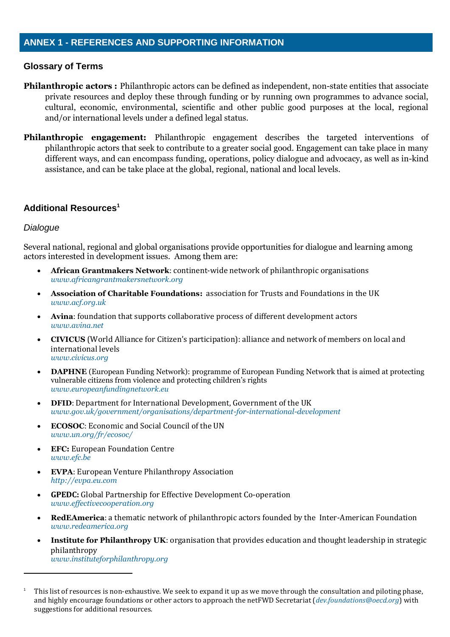# **Glossary of Terms**

- **Philanthropic actors :** Philanthropic actors can be defined as independent, non-state entities that associate private resources and deploy these through funding or by running own programmes to advance social, cultural, economic, environmental, scientific and other public good purposes at the local, regional and/or international levels under a defined legal status.
- **Philanthropic engagement:** Philanthropic engagement describes the targeted interventions of philanthropic actors that seek to contribute to a greater social good. Engagement can take place in many different ways, and can encompass funding, operations, policy dialogue and advocacy, as well as in-kind assistance, and can be take place at the global, regional, national and local levels.

#### **Additional Resources<sup>1</sup>**

#### *Dialogue*

 $\overline{a}$ 

Several national, regional and global organisations provide opportunities for dialogue and learning among actors interested in development issues. Among them are:

- **African Grantmakers Network**: continent-wide network of philanthropic organisations *[www.africangrantmakersnetwork.org](http://www.africangrantmakersnetwork.org/)*
- **Association of Charitable Foundations:** association for Trusts and Foundations in the UK *[www.acf.org.uk](http://www.acf.org.uk/)*
- **Avina**: foundation that supports collaborative process of different development actors *[www.avina.net](http://www.avina.net/)*
- **CIVICUS** (World Alliance for Citizen's participation): alliance and network of members on local and international levels *[www.civicus.org](http://www.civicus.org/)*
- **DAPHNE** (European Funding Network): programme of European Funding Network that is aimed at protecting vulnerable citizens from violence and protecting children's rights *[www.europeanfundingnetwork.eu](http://www.europeanfundingnetwork.eu/)*
- **DFID**: Department for International Development, Government of the UK *[www.gov.uk/government/organisations/department-for-international-development](http://www.gov.uk/government/organisations/department-for-international-development)*
- **ECOSOC**: Economic and Social Council of the UN *[www.un.org/fr/ecosoc/](http://www.un.org/fr/ecosoc/)*
- **EFC:** European Foundation Centre *[www.efc.be](http://www.efc.be/)*
- **EVPA**: European Venture Philanthropy Association *[http://evpa.eu.com](http://evpa.eu.com/)*
- **GPEDC:** Global Partnership for Effective Development Co-operation *[www.effectivecooperation.org](http://www.effectivecooperation.org/)*
- **RedEAmerica**: a thematic network of philanthropic actors founded by the Inter-American Foundation *[www.redeamerica.org](http://www.redeamerica.org/)*
- **Institute for Philanthropy UK**: organisation that provides education and thought leadership in strategic philanthropy *[www.instituteforphilanthropy.org](http://www.instituteforphilanthropy.org/)*

<sup>1</sup> This list of resources is non-exhaustive. We seek to expand it up as we move through the consultation and piloting phase, and highly encourage foundations or other actors to approach the netFWD Secretariat (*[dev.foundations@oecd.org](mailto:dev.foundations@oecd.org)*) with suggestions for additional resources.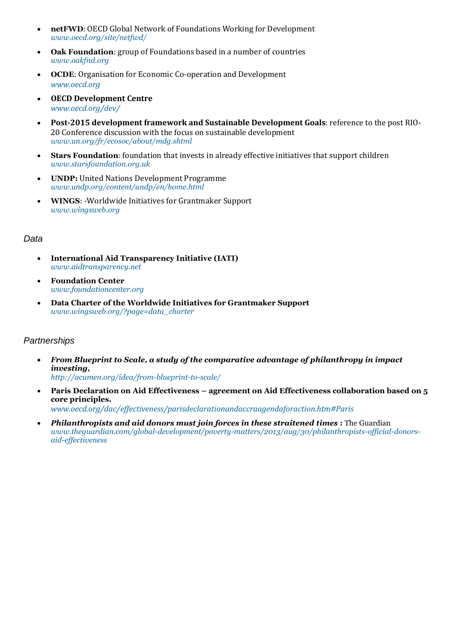- **netFWD**: OECD Global Network of Foundations Working for Development *[www.oecd.org/site/netfwd/](http://www.oecd.org/site/netfwd/)*
- **Oak Foundation**: group of Foundations based in a number of countries *[www.oakfnd.org](http://www.oakfnd.org/)*
- **OCDE**: Organisation for Economic Co-operation and Development *[www.oecd.org](http://www.oecd.org/)*
- **OECD Development Centre** *[www.oecd.org/dev/](http://www.oecd.org/dev/)*
- **Post-2015 development framework and Sustainable Development Goals**: reference to the post RIO-20 Conference discussion with the focus on sustainable development *[www.un.org/fr/ecosoc/about/mdg.shtml](http://www.un.org/fr/ecosoc/about/mdg.shtml)*
- **Stars Foundation**: foundation that invests in already effective initiatives that support children *[www.starsfoundation.org.uk](http://www.starsfoundation.org.uk/)*
- **UNDP:** United Nations Development Programme *[www.undp.org/content/undp/en/home.html](http://www.undp.org/content/undp/en/home.html)*
- **WINGS**: -Worldwide Initiatives for Grantmaker Support *[www.wingsweb.org](http://www.wingsweb.org/)*

#### *Data*

- **International Aid Transparency Initiative (IATI)**  *[www.aidtransparency.net](http://www.aidtransparency.net/)*
- **Foundation Center** *[www.foundationcenter.org](http://www.foundationcenter.org/)*
- **Data Charter of the Worldwide Initiatives for Grantmaker Support**  *[www.wingsweb.org/?page=data\\_charter](http://www.wingsweb.org/?page=data_charter)*

# *Partnerships*

- *From Blueprint to Scale, a study of the comparative advantage of philanthropy in impact investing, <http://acumen.org/idea/from-blueprint-to-scale/>*
- **Paris Declaration on Aid Effectiveness – agreement on Aid Effectiveness collaboration based on 5 core principles.**  *[www.oecd.org/dac/effectiveness/parisdeclarationandaccraagendaforaction.htm#Paris](http://www.oecd.org/dac/effectiveness/parisdeclarationandaccraagendaforaction.htm#Paris)*
- *Philanthropists and aid donors must join forces in these straitened times* **:** The Guardian *[www.theguardian.com/global-development/poverty-matters/2013/aug/30/philanthropists-official-donors](http://www.theguardian.com/global-development/poverty-matters/2013/aug/30/philanthropists-official-donors-aid-effectiveness)[aid-effectiveness](http://www.theguardian.com/global-development/poverty-matters/2013/aug/30/philanthropists-official-donors-aid-effectiveness)*